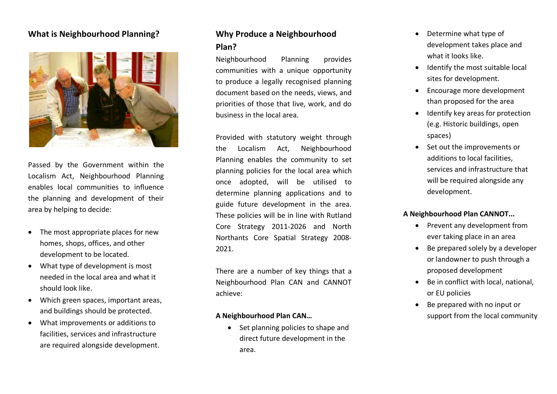### **What is Neighbourhood Planning ?**



Passed by the Government within the Localism Act, Neighbourhood Planning enables local communities to influence the planning and development of their area by helping to decide:

- The most appropriate places for new homes, shops, offices, and other development to be located.
- What type of development is most needed in the local area and what it should look like.
- Which green spaces, important areas, and buildings should be protected.
- What improvements or additions to facilities, services and infrastructure are required alongside development.

## **Why Produce a Neighbourhood Plan ?**

Neighbourhood Planning provides communities with a unique opportunity to produce a legally recognised planning document based on the needs, views, and priorities of those that live, work, and do business in the local area.

Provided with statutory weight through the Localism Act, Neighbourhood Planning enables the community to set planning policies for the local area which once adopted, will be utilised to determine planning applications and to guide future development in the area. These policies will be in line with Rutland Core Strategy 2011 -2026 and North Northants Core Spatial Strategy 2008 - 2021 .

There are a number of key things that a Neighbourhood Plan CAN and CANNOT achieve:

#### **A Neighbourhood Plan CAN…**

• Set planning policies to shape and direct future development in the area.

- Determine what type of development takes place and what it looks like.
- Identify the most suitable local sites for development.
- Encourage more development than proposed for the area
- Identify key areas for protection (e.g. Historic buildings, open spaces)
- Set out the improvements or additions to local facilities, services and infrastructure that will be required alongside any development.

#### **A Neighbourhood Plan CANNOT...**

- Prevent any development from ever taking place in an area
- Be prepared solely by a developer or landowner to push through a proposed development
- Be in conflict with local, national, or EU policies
- Be prepared with no input or support from the local community